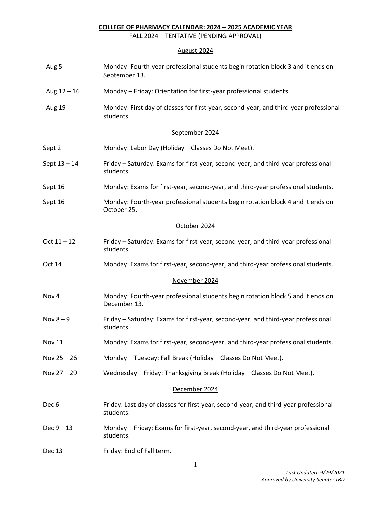## **COLLEGE OF PHARMACY CALENDAR: 2024 – 2025 ACADEMIC YEAR**

FALL 2024 – TENTATIVE (PENDING APPROVAL)

## August 2024

| Aug 5            | Monday: Fourth-year professional students begin rotation block 3 and it ends on<br>September 13.   |
|------------------|----------------------------------------------------------------------------------------------------|
| Aug $12 - 16$    | Monday - Friday: Orientation for first-year professional students.                                 |
| Aug 19           | Monday: First day of classes for first-year, second-year, and third-year professional<br>students. |
|                  | September 2024                                                                                     |
| Sept 2           | Monday: Labor Day (Holiday - Classes Do Not Meet).                                                 |
| Sept 13 - 14     | Friday – Saturday: Exams for first-year, second-year, and third-year professional<br>students.     |
| Sept 16          | Monday: Exams for first-year, second-year, and third-year professional students.                   |
| Sept 16          | Monday: Fourth-year professional students begin rotation block 4 and it ends on<br>October 25.     |
|                  | October 2024                                                                                       |
| $Oct 11 - 12$    | Friday – Saturday: Exams for first-year, second-year, and third-year professional<br>students.     |
| Oct 14           | Monday: Exams for first-year, second-year, and third-year professional students.                   |
|                  | November 2024                                                                                      |
| Nov 4            | Monday: Fourth-year professional students begin rotation block 5 and it ends on<br>December 13.    |
| Nov $8-9$        | Friday - Saturday: Exams for first-year, second-year, and third-year professional<br>students.     |
| <b>Nov 11</b>    | Monday: Exams for first-year, second-year, and third-year professional students.                   |
| Nov $25 - 26$    | Monday - Tuesday: Fall Break (Holiday - Classes Do Not Meet).                                      |
| Nov 27 - 29      | Wednesday - Friday: Thanksgiving Break (Holiday - Classes Do Not Meet).                            |
|                  | December 2024                                                                                      |
| Dec <sub>6</sub> | Friday: Last day of classes for first-year, second-year, and third-year professional<br>students.  |
| $Dec 9 - 13$     | Monday - Friday: Exams for first-year, second-year, and third-year professional<br>students.       |
| Dec 13           | Friday: End of Fall term.                                                                          |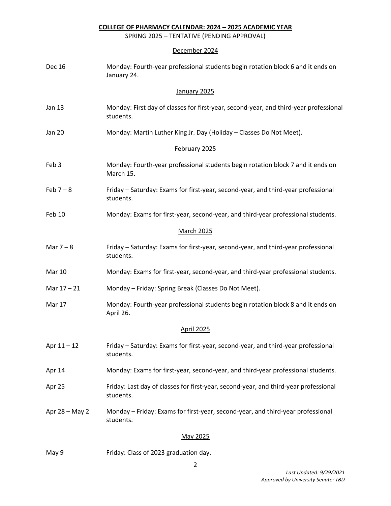**COLLEGE OF PHARMACY CALENDAR: 2024 – 2025 ACADEMIC YEAR**

SPRING 2025 – TENTATIVE (PENDING APPROVAL)

## December 2024

| <b>Dec 16</b>    | Monday: Fourth-year professional students begin rotation block 6 and it ends on<br>January 24.     |
|------------------|----------------------------------------------------------------------------------------------------|
|                  | January 2025                                                                                       |
| <b>Jan 13</b>    | Monday: First day of classes for first-year, second-year, and third-year professional<br>students. |
| <b>Jan 20</b>    | Monday: Martin Luther King Jr. Day (Holiday - Classes Do Not Meet).                                |
|                  | February 2025                                                                                      |
| Feb <sub>3</sub> | Monday: Fourth-year professional students begin rotation block 7 and it ends on<br>March 15.       |
| Feb $7 - 8$      | Friday - Saturday: Exams for first-year, second-year, and third-year professional<br>students.     |
| Feb 10           | Monday: Exams for first-year, second-year, and third-year professional students.                   |
|                  | March 2025                                                                                         |
| Mar $7 - 8$      | Friday – Saturday: Exams for first-year, second-year, and third-year professional<br>students.     |
| Mar 10           | Monday: Exams for first-year, second-year, and third-year professional students.                   |
| Mar 17 - 21      | Monday - Friday: Spring Break (Classes Do Not Meet).                                               |
| Mar 17           | Monday: Fourth-year professional students begin rotation block 8 and it ends on<br>April 26.       |
|                  | <b>April 2025</b>                                                                                  |
| Apr 11-12        | Friday - Saturday: Exams for first-year, second-year, and third-year professional<br>students.     |
| Apr 14           | Monday: Exams for first-year, second-year, and third-year professional students.                   |
| Apr 25           | Friday: Last day of classes for first-year, second-year, and third-year professional<br>students.  |
| Apr 28 - May 2   | Monday - Friday: Exams for first-year, second-year, and third-year professional<br>students.       |
|                  | May 2025                                                                                           |

May 9 Friday: Class of 2023 graduation day.